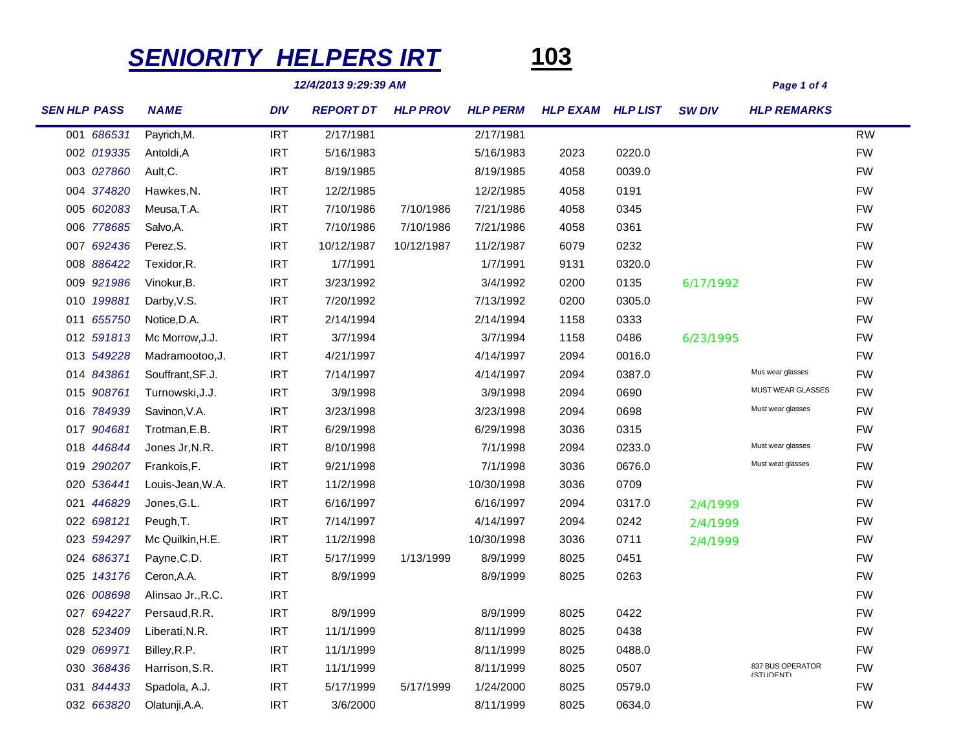## *SENIORITY HELPERS IRT* **103**



*12/4/2013 9:29:39 AM Page 1 of 4*

| <b>SEN HLP PASS</b> | <b>NAME</b>       | <b>DIV</b> | <b>REPORT DT</b> | <b>HLP PROV</b> | <b>HLP PERM</b> | <b>HLP EXAM HLP LIST</b> |        | <b>SW DIV</b> | <b>HLP REMARKS</b>            |           |
|---------------------|-------------------|------------|------------------|-----------------|-----------------|--------------------------|--------|---------------|-------------------------------|-----------|
| 001 686531          | Payrich, M.       | <b>IRT</b> | 2/17/1981        |                 | 2/17/1981       |                          |        |               |                               | <b>RW</b> |
| 002 019335          | Antoldi, A        | <b>IRT</b> | 5/16/1983        |                 | 5/16/1983       | 2023                     | 0220.0 |               |                               | <b>FW</b> |
| 003 027860          | Ault, C.          | <b>IRT</b> | 8/19/1985        |                 | 8/19/1985       | 4058                     | 0039.0 |               |                               | <b>FW</b> |
| 004 374820          | Hawkes, N.        | <b>IRT</b> | 12/2/1985        |                 | 12/2/1985       | 4058                     | 0191   |               |                               | <b>FW</b> |
| 005 602083          | Meusa, T.A.       | <b>IRT</b> | 7/10/1986        | 7/10/1986       | 7/21/1986       | 4058                     | 0345   |               |                               | <b>FW</b> |
| 006 778685          | Salvo, A.         | <b>IRT</b> | 7/10/1986        | 7/10/1986       | 7/21/1986       | 4058                     | 0361   |               |                               | <b>FW</b> |
| 007 692436          | Perez, S.         | <b>IRT</b> | 10/12/1987       | 10/12/1987      | 11/2/1987       | 6079                     | 0232   |               |                               | <b>FW</b> |
| 008 886422          | Texidor, R.       | <b>IRT</b> | 1/7/1991         |                 | 1/7/1991        | 9131                     | 0320.0 |               |                               | <b>FW</b> |
| 009 921986          | Vinokur, B.       | <b>IRT</b> | 3/23/1992        |                 | 3/4/1992        | 0200                     | 0135   | 6/17/1992     |                               | <b>FW</b> |
| 010 199881          | Darby, V.S.       | <b>IRT</b> | 7/20/1992        |                 | 7/13/1992       | 0200                     | 0305.0 |               |                               | <b>FW</b> |
| 011 655750          | Notice, D.A.      | <b>IRT</b> | 2/14/1994        |                 | 2/14/1994       | 1158                     | 0333   |               |                               | <b>FW</b> |
| 012 591813          | Mc Morrow, J.J.   | <b>IRT</b> | 3/7/1994         |                 | 3/7/1994        | 1158                     | 0486   | 6/23/1995     |                               | <b>FW</b> |
| 013 549228          | Madramootoo, J.   | <b>IRT</b> | 4/21/1997        |                 | 4/14/1997       | 2094                     | 0016.0 |               |                               | <b>FW</b> |
| 014 843861          | Souffrant, SF.J.  | <b>IRT</b> | 7/14/1997        |                 | 4/14/1997       | 2094                     | 0387.0 |               | Mus wear glasses              | <b>FW</b> |
| 015 908761          | Turnowski, J.J.   | <b>IRT</b> | 3/9/1998         |                 | 3/9/1998        | 2094                     | 0690   |               | <b>MUST WEAR GLASSES</b>      | <b>FW</b> |
| 016 784939          | Savinon, V.A.     | <b>IRT</b> | 3/23/1998        |                 | 3/23/1998       | 2094                     | 0698   |               | Must wear glasses             | <b>FW</b> |
| 017 904681          | Trotman, E.B.     | <b>IRT</b> | 6/29/1998        |                 | 6/29/1998       | 3036                     | 0315   |               |                               | <b>FW</b> |
| 018 446844          | Jones Jr, N.R.    | <b>IRT</b> | 8/10/1998        |                 | 7/1/1998        | 2094                     | 0233.0 |               | Must wear glasses             | <b>FW</b> |
| 019 290207          | Frankois, F.      | <b>IRT</b> | 9/21/1998        |                 | 7/1/1998        | 3036                     | 0676.0 |               | Must weat glasses             | <b>FW</b> |
| 020 536441          | Louis-Jean, W.A.  | <b>IRT</b> | 11/2/1998        |                 | 10/30/1998      | 3036                     | 0709   |               |                               | <b>FW</b> |
| 021 446829          | Jones, G.L.       | <b>IRT</b> | 6/16/1997        |                 | 6/16/1997       | 2094                     | 0317.0 | 2/4/1999      |                               | <b>FW</b> |
| 022 698121          | Peugh, T.         | <b>IRT</b> | 7/14/1997        |                 | 4/14/1997       | 2094                     | 0242   | 2/4/1999      |                               | <b>FW</b> |
| 023 594297          | Mc Quilkin, H.E.  | <b>IRT</b> | 11/2/1998        |                 | 10/30/1998      | 3036                     | 0711   | 2/4/1999      |                               | <b>FW</b> |
| 024 686371          | Payne, C.D.       | <b>IRT</b> | 5/17/1999        | 1/13/1999       | 8/9/1999        | 8025                     | 0451   |               |                               | <b>FW</b> |
| 025 143176          | Ceron, A.A.       | <b>IRT</b> | 8/9/1999         |                 | 8/9/1999        | 8025                     | 0263   |               |                               | <b>FW</b> |
| 026 008698          | Alinsao Jr., R.C. | <b>IRT</b> |                  |                 |                 |                          |        |               |                               | <b>FW</b> |
| 027 694227          | Persaud, R.R.     | <b>IRT</b> | 8/9/1999         |                 | 8/9/1999        | 8025                     | 0422   |               |                               | <b>FW</b> |
| 028 523409          | Liberati, N.R.    | <b>IRT</b> | 11/1/1999        |                 | 8/11/1999       | 8025                     | 0438   |               |                               | <b>FW</b> |
| 029 069971          | Billey, R.P.      | <b>IRT</b> | 11/1/1999        |                 | 8/11/1999       | 8025                     | 0488.0 |               |                               | <b>FW</b> |
| 030 368436          | Harrison, S.R.    | <b>IRT</b> | 11/1/1999        |                 | 8/11/1999       | 8025                     | 0507   |               | 837 BUS OPERATOR<br>(STUDENT) | <b>FW</b> |
| 031 844433          | Spadola, A.J.     | <b>IRT</b> | 5/17/1999        | 5/17/1999       | 1/24/2000       | 8025                     | 0579.0 |               |                               | <b>FW</b> |
| 032 663820          | Olatunji, A.A.    | <b>IRT</b> | 3/6/2000         |                 | 8/11/1999       | 8025                     | 0634.0 |               |                               | <b>FW</b> |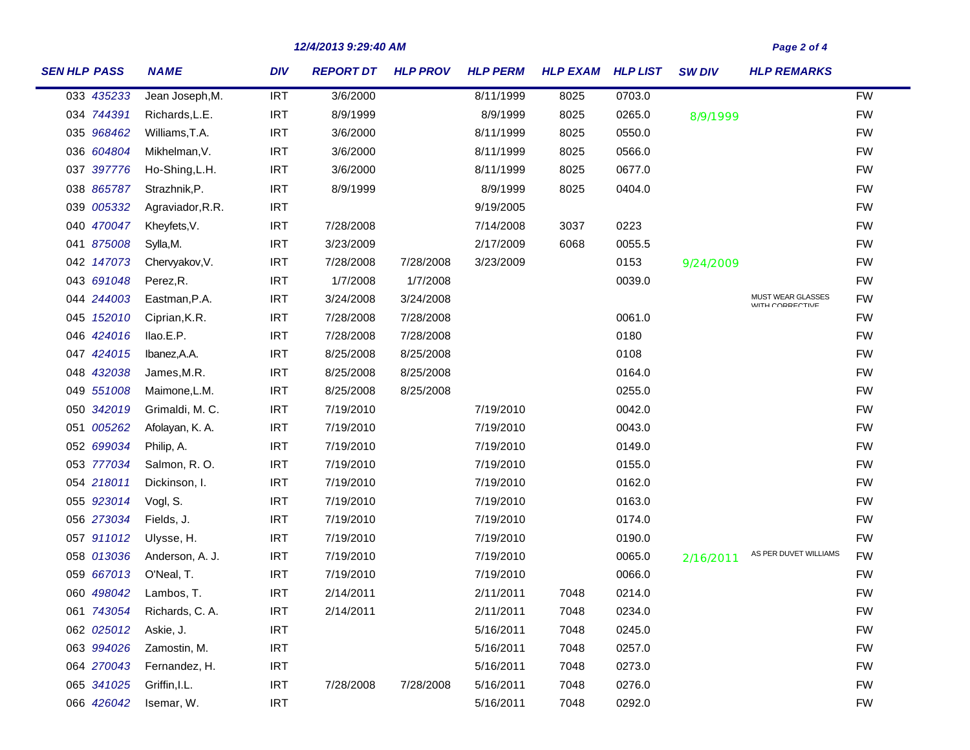| <b>SEN HLP PASS</b> | <b>NAME</b>      | <b>DIV</b> | <b>REPORT DT</b> | <b>HLP PROV</b> | <b>HLP PERM</b> | <b>HLP EXAM HLP LIST</b> |        | <b>SW DIV</b> | <b>HLP REMARKS</b>                          |           |
|---------------------|------------------|------------|------------------|-----------------|-----------------|--------------------------|--------|---------------|---------------------------------------------|-----------|
| 033 435233          | Jean Joseph, M.  | <b>IRT</b> | 3/6/2000         |                 | 8/11/1999       | 8025                     | 0703.0 |               |                                             | <b>FW</b> |
| 034 744391          | Richards, L.E.   | <b>IRT</b> | 8/9/1999         |                 | 8/9/1999        | 8025                     | 0265.0 | 8/9/1999      |                                             | <b>FW</b> |
| 035 968462          | Williams, T.A.   | <b>IRT</b> | 3/6/2000         |                 | 8/11/1999       | 8025                     | 0550.0 |               |                                             | <b>FW</b> |
| 036 604804          | Mikhelman, V.    | <b>IRT</b> | 3/6/2000         |                 | 8/11/1999       | 8025                     | 0566.0 |               |                                             | <b>FW</b> |
| 037 397776          | Ho-Shing, L.H.   | <b>IRT</b> | 3/6/2000         |                 | 8/11/1999       | 8025                     | 0677.0 |               |                                             | <b>FW</b> |
| 038 865787          | Strazhnik, P.    | <b>IRT</b> | 8/9/1999         |                 | 8/9/1999        | 8025                     | 0404.0 |               |                                             | <b>FW</b> |
| 039 005332          | Agraviador, R.R. | <b>IRT</b> |                  |                 | 9/19/2005       |                          |        |               |                                             | <b>FW</b> |
| 040 470047          | Kheyfets, V.     | <b>IRT</b> | 7/28/2008        |                 | 7/14/2008       | 3037                     | 0223   |               |                                             | <b>FW</b> |
| 041 875008          | Sylla, M.        | <b>IRT</b> | 3/23/2009        |                 | 2/17/2009       | 6068                     | 0055.5 |               |                                             | <b>FW</b> |
| 042 147073          | Chervyakov, V.   | <b>IRT</b> | 7/28/2008        | 7/28/2008       | 3/23/2009       |                          | 0153   | 9/24/2009     |                                             | <b>FW</b> |
| 043 691048          | Perez, R.        | <b>IRT</b> | 1/7/2008         | 1/7/2008        |                 |                          | 0039.0 |               |                                             | <b>FW</b> |
| 044 244003          | Eastman, P.A.    | <b>IRT</b> | 3/24/2008        | 3/24/2008       |                 |                          |        |               | MUST WEAR GLASSES<br><b>WITH CORRECTIVE</b> | <b>FW</b> |
| 045 152010          | Ciprian, K.R.    | <b>IRT</b> | 7/28/2008        | 7/28/2008       |                 |                          | 0061.0 |               |                                             | <b>FW</b> |
| 046 424016          | llao.E.P.        | <b>IRT</b> | 7/28/2008        | 7/28/2008       |                 |                          | 0180   |               |                                             | <b>FW</b> |
| 047 424015          | Ibanez, A.A.     | <b>IRT</b> | 8/25/2008        | 8/25/2008       |                 |                          | 0108   |               |                                             | <b>FW</b> |
| 048 432038          | James, M.R.      | <b>IRT</b> | 8/25/2008        | 8/25/2008       |                 |                          | 0164.0 |               |                                             | <b>FW</b> |
| 049 551008          | Maimone, L.M.    | <b>IRT</b> | 8/25/2008        | 8/25/2008       |                 |                          | 0255.0 |               |                                             | <b>FW</b> |
| 050 342019          | Grimaldi, M. C.  | IRT        | 7/19/2010        |                 | 7/19/2010       |                          | 0042.0 |               |                                             | <b>FW</b> |
| 051 005262          | Afolayan, K. A.  | <b>IRT</b> | 7/19/2010        |                 | 7/19/2010       |                          | 0043.0 |               |                                             | <b>FW</b> |
| 052 699034          | Philip, A.       | <b>IRT</b> | 7/19/2010        |                 | 7/19/2010       |                          | 0149.0 |               |                                             | <b>FW</b> |
| 053 777034          | Salmon, R.O.     | <b>IRT</b> | 7/19/2010        |                 | 7/19/2010       |                          | 0155.0 |               |                                             | <b>FW</b> |
| 054 218011          | Dickinson, I.    | <b>IRT</b> | 7/19/2010        |                 | 7/19/2010       |                          | 0162.0 |               |                                             | <b>FW</b> |
| 055 923014          | Vogl, S.         | <b>IRT</b> | 7/19/2010        |                 | 7/19/2010       |                          | 0163.0 |               |                                             | <b>FW</b> |
| 056 273034          | Fields, J.       | <b>IRT</b> | 7/19/2010        |                 | 7/19/2010       |                          | 0174.0 |               |                                             | <b>FW</b> |
| 057 911012          | Ulysse, H.       | <b>IRT</b> | 7/19/2010        |                 | 7/19/2010       |                          | 0190.0 |               |                                             | <b>FW</b> |
| 058 013036          | Anderson, A. J.  | IRT        | 7/19/2010        |                 | 7/19/2010       |                          | 0065.0 | 2/16/2011     | AS PER DUVET WILLIAMS                       | <b>FW</b> |
| 059 667013          | O'Neal, T.       | <b>IRT</b> | 7/19/2010        |                 | 7/19/2010       |                          | 0066.0 |               |                                             | <b>FW</b> |
| 060 498042          | Lambos, T.       | <b>IRT</b> | 2/14/2011        |                 | 2/11/2011       | 7048                     | 0214.0 |               |                                             | <b>FW</b> |
| 061 743054          | Richards, C. A.  | IRT        | 2/14/2011        |                 | 2/11/2011       | 7048                     | 0234.0 |               |                                             | <b>FW</b> |
| 062 025012          | Askie, J.        | <b>IRT</b> |                  |                 | 5/16/2011       | 7048                     | 0245.0 |               |                                             | <b>FW</b> |
| 063 994026          | Zamostin, M.     | <b>IRT</b> |                  |                 | 5/16/2011       | 7048                     | 0257.0 |               |                                             | <b>FW</b> |
| 064 270043          | Fernandez, H.    | <b>IRT</b> |                  |                 | 5/16/2011       | 7048                     | 0273.0 |               |                                             | <b>FW</b> |
| 065 341025          | Griffin, I.L.    | <b>IRT</b> | 7/28/2008        | 7/28/2008       | 5/16/2011       | 7048                     | 0276.0 |               |                                             | <b>FW</b> |
| 066 426042          | Isemar, W.       | <b>IRT</b> |                  |                 | 5/16/2011       | 7048                     | 0292.0 |               |                                             | <b>FW</b> |

*12/4/2013 9:29:40 AM Page 2 of 4*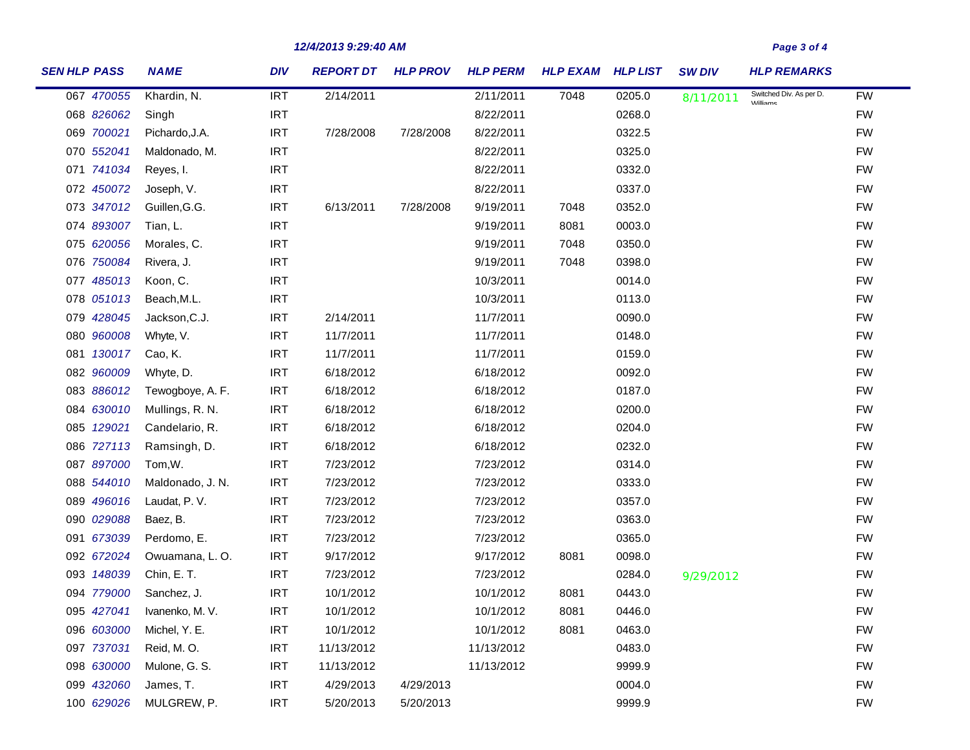## *12/4/2013 9:29:40 AM Page 3 of 4*

| <b>SEN HLP PASS</b> | <b>NAME</b>      | <b>DIV</b> | <b>REPORT DT</b> | <b>HLP PROV</b> | <b>HLP PERM</b> | <b>HLP EXAM</b> | <b>HLP LIST</b> | <b>SW DIV</b> | <b>HLP REMARKS</b>                         |           |
|---------------------|------------------|------------|------------------|-----------------|-----------------|-----------------|-----------------|---------------|--------------------------------------------|-----------|
| 067 470055          | Khardin, N.      | <b>IRT</b> | 2/14/2011        |                 | 2/11/2011       | 7048            | 0205.0          | 8/11/2011     | Switched Div. As per D.<br><b>Milliame</b> | <b>FW</b> |
| 068 826062          | Singh            | <b>IRT</b> |                  |                 | 8/22/2011       |                 | 0268.0          |               |                                            | <b>FW</b> |
| 069 700021          | Pichardo, J.A.   | <b>IRT</b> | 7/28/2008        | 7/28/2008       | 8/22/2011       |                 | 0322.5          |               |                                            | <b>FW</b> |
| 070 552041          | Maldonado, M.    | <b>IRT</b> |                  |                 | 8/22/2011       |                 | 0325.0          |               |                                            | <b>FW</b> |
| 071 741034          | Reyes, I.        | <b>IRT</b> |                  |                 | 8/22/2011       |                 | 0332.0          |               |                                            | <b>FW</b> |
| 072 450072          | Joseph, V.       | <b>IRT</b> |                  |                 | 8/22/2011       |                 | 0337.0          |               |                                            | <b>FW</b> |
| 073 347012          | Guillen, G.G.    | <b>IRT</b> | 6/13/2011        | 7/28/2008       | 9/19/2011       | 7048            | 0352.0          |               |                                            | <b>FW</b> |
| 074 893007          | Tian, L.         | <b>IRT</b> |                  |                 | 9/19/2011       | 8081            | 0003.0          |               |                                            | <b>FW</b> |
| 075 620056          | Morales, C.      | <b>IRT</b> |                  |                 | 9/19/2011       | 7048            | 0350.0          |               |                                            | <b>FW</b> |
| 076 750084          | Rivera, J.       | <b>IRT</b> |                  |                 | 9/19/2011       | 7048            | 0398.0          |               |                                            | <b>FW</b> |
| 077 485013          | Koon, C.         | <b>IRT</b> |                  |                 | 10/3/2011       |                 | 0014.0          |               |                                            | <b>FW</b> |
| 078 051013          | Beach, M.L.      | <b>IRT</b> |                  |                 | 10/3/2011       |                 | 0113.0          |               |                                            | <b>FW</b> |
| 079 428045          | Jackson, C.J.    | <b>IRT</b> | 2/14/2011        |                 | 11/7/2011       |                 | 0090.0          |               |                                            | <b>FW</b> |
| 080 960008          | Whyte, V.        | <b>IRT</b> | 11/7/2011        |                 | 11/7/2011       |                 | 0148.0          |               |                                            | <b>FW</b> |
| 081 130017          | Cao, K.          | <b>IRT</b> | 11/7/2011        |                 | 11/7/2011       |                 | 0159.0          |               |                                            | <b>FW</b> |
| 082 960009          | Whyte, D.        | IRT        | 6/18/2012        |                 | 6/18/2012       |                 | 0092.0          |               |                                            | <b>FW</b> |
| 083 886012          | Tewogboye, A. F. | IRT        | 6/18/2012        |                 | 6/18/2012       |                 | 0187.0          |               |                                            | <b>FW</b> |
| 084 630010          | Mullings, R. N.  | <b>IRT</b> | 6/18/2012        |                 | 6/18/2012       |                 | 0200.0          |               |                                            | <b>FW</b> |
| 085 129021          | Candelario, R.   | IRT        | 6/18/2012        |                 | 6/18/2012       |                 | 0204.0          |               |                                            | <b>FW</b> |
| 086 727113          | Ramsingh, D.     | <b>IRT</b> | 6/18/2012        |                 | 6/18/2012       |                 | 0232.0          |               |                                            | <b>FW</b> |
| 087 897000          | Tom, W.          | IRT        | 7/23/2012        |                 | 7/23/2012       |                 | 0314.0          |               |                                            | <b>FW</b> |
| 088 544010          | Maldonado, J. N. | <b>IRT</b> | 7/23/2012        |                 | 7/23/2012       |                 | 0333.0          |               |                                            | <b>FW</b> |
| 089 496016          | Laudat, P.V.     | IRT        | 7/23/2012        |                 | 7/23/2012       |                 | 0357.0          |               |                                            | <b>FW</b> |
| 090 029088          | Baez, B.         | <b>IRT</b> | 7/23/2012        |                 | 7/23/2012       |                 | 0363.0          |               |                                            | <b>FW</b> |
| 091 673039          | Perdomo, E.      | <b>IRT</b> | 7/23/2012        |                 | 7/23/2012       |                 | 0365.0          |               |                                            | <b>FW</b> |
| 092 672024          | Owuamana, L. O.  | <b>IRT</b> | 9/17/2012        |                 | 9/17/2012       | 8081            | 0098.0          |               |                                            | <b>FW</b> |
| 093 148039          | Chin, E.T.       | IRT        | 7/23/2012        |                 | 7/23/2012       |                 | 0284.0          | 9/29/2012     |                                            | <b>FW</b> |
| 094 779000          | Sanchez, J.      | <b>IRT</b> | 10/1/2012        |                 | 10/1/2012       | 8081            | 0443.0          |               |                                            | <b>FW</b> |
| 095 427041          | Ivanenko, M. V.  | <b>IRT</b> | 10/1/2012        |                 | 10/1/2012       | 8081            | 0446.0          |               |                                            | <b>FW</b> |
| 096 603000          | Michel, Y. E.    | <b>IRT</b> | 10/1/2012        |                 | 10/1/2012       | 8081            | 0463.0          |               |                                            | <b>FW</b> |
| 097 737031          | Reid, M.O.       | <b>IRT</b> | 11/13/2012       |                 | 11/13/2012      |                 | 0483.0          |               |                                            | <b>FW</b> |
| 098 630000          | Mulone, G. S.    | <b>IRT</b> | 11/13/2012       |                 | 11/13/2012      |                 | 9999.9          |               |                                            | <b>FW</b> |
| 099 432060          | James, T.        | <b>IRT</b> | 4/29/2013        | 4/29/2013       |                 |                 | 0004.0          |               |                                            | <b>FW</b> |
| 100 629026          | MULGREW, P.      | <b>IRT</b> | 5/20/2013        | 5/20/2013       |                 |                 | 9999.9          |               |                                            | <b>FW</b> |